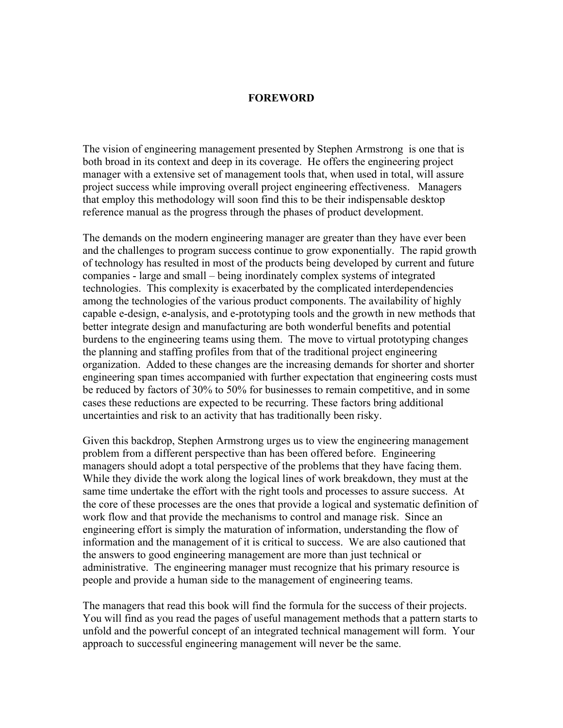## **FOREWORD**

The vision of engineering management presented by Stephen Armstrong is one that is both broad in its context and deep in its coverage. He offers the engineering project manager with a extensive set of management tools that, when used in total, will assure project success while improving overall project engineering effectiveness. Managers that employ this methodology will soon find this to be their indispensable desktop reference manual as the progress through the phases of product development.

The demands on the modern engineering manager are greater than they have ever been and the challenges to program success continue to grow exponentially. The rapid growth of technology has resulted in most of the products being developed by current and future companies - large and small – being inordinately complex systems of integrated technologies. This complexity is exacerbated by the complicated interdependencies among the technologies of the various product components. The availability of highly capable e-design, e-analysis, and e-prototyping tools and the growth in new methods that better integrate design and manufacturing are both wonderful benefits and potential burdens to the engineering teams using them. The move to virtual prototyping changes the planning and staffing profiles from that of the traditional project engineering organization. Added to these changes are the increasing demands for shorter and shorter engineering span times accompanied with further expectation that engineering costs must be reduced by factors of 30% to 50% for businesses to remain competitive, and in some cases these reductions are expected to be recurring. These factors bring additional uncertainties and risk to an activity that has traditionally been risky.

Given this backdrop, Stephen Armstrong urges us to view the engineering management problem from a different perspective than has been offered before. Engineering managers should adopt a total perspective of the problems that they have facing them. While they divide the work along the logical lines of work breakdown, they must at the same time undertake the effort with the right tools and processes to assure success. At the core of these processes are the ones that provide a logical and systematic definition of work flow and that provide the mechanisms to control and manage risk. Since an engineering effort is simply the maturation of information, understanding the flow of information and the management of it is critical to success. We are also cautioned that the answers to good engineering management are more than just technical or administrative. The engineering manager must recognize that his primary resource is people and provide a human side to the management of engineering teams.

The managers that read this book will find the formula for the success of their projects. You will find as you read the pages of useful management methods that a pattern starts to unfold and the powerful concept of an integrated technical management will form. Your approach to successful engineering management will never be the same.